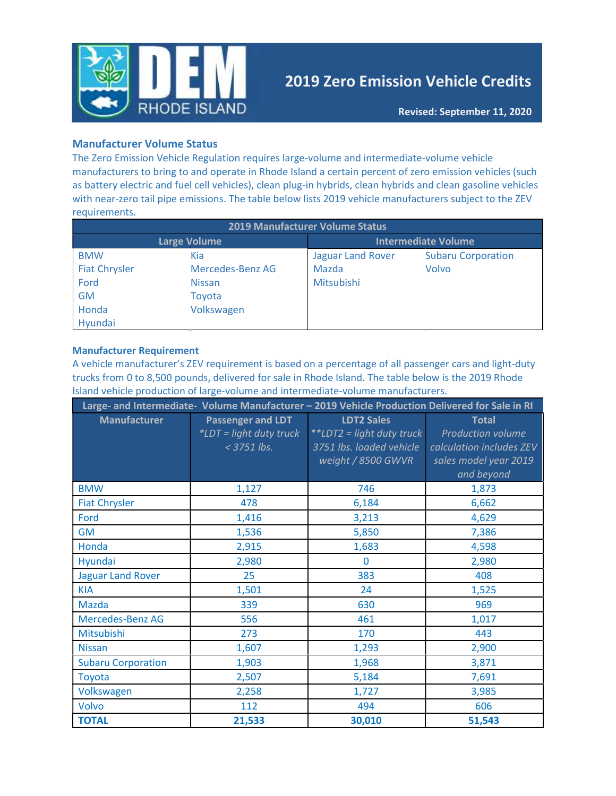

# 2019 Zero Emission Vehicle Credits

### Manufacturer Volume Status

The Zero Emission Vehicle Regulation requires large-volume and intermediate-volume vehicle manufacturers to bring to and operate in Rhode Island a certain percent of zero emission vehicles (such as battery electric and fuel cell vehicles), clean plug-in hybrids, clean hybrids and clean gasoline vehicles with near-zero tail pipe emissions. The table below lists 2019 vehicle manufacturers subject to the ZEV requirements.

| <b>2019 Manufacturer Volume Status</b> |                  |                            |                           |  |
|----------------------------------------|------------------|----------------------------|---------------------------|--|
| Large Volume                           |                  | <b>Intermediate Volume</b> |                           |  |
| <b>BMW</b>                             | Kia              | <b>Jaguar Land Rover</b>   | <b>Subaru Corporation</b> |  |
| <b>Fiat Chrysler</b>                   | Mercedes-Benz AG | Mazda                      | Volvo                     |  |
| Ford                                   | <b>Nissan</b>    | <b>Mitsubishi</b>          |                           |  |
| <b>GM</b>                              | Toyota           |                            |                           |  |
| Honda                                  | Volkswagen       |                            |                           |  |
| Hyundai                                |                  |                            |                           |  |

#### Manufacturer Requirement

A vehicle manufacturer's ZEV requirement is based on a percentage of all passenger cars and light-duty trucks from 0 to 8,500 pounds, delivered for sale in Rhode Island. The table below is the 2019 Rhode Island vehicle production of large-volume and intermediate-volume manufacturers.

|                           |                                                                      | Large- and Intermediate- Volume Manufacturer - 2019 Vehicle Production Delivered for Sale in RI  |                                                                                                             |
|---------------------------|----------------------------------------------------------------------|--------------------------------------------------------------------------------------------------|-------------------------------------------------------------------------------------------------------------|
| <b>Manufacturer</b>       | <b>Passenger and LDT</b><br>*LDT = light duty truck<br>$<$ 3751 lbs. | <b>LDT2 Sales</b><br>**LDT2 = light duty truck<br>3751 lbs. loaded vehicle<br>weight / 8500 GWVR | <b>Total</b><br><b>Production volume</b><br>calculation includes ZEV<br>sales model year 2019<br>and beyond |
| <b>BMW</b>                | 1,127                                                                | 746                                                                                              | 1,873                                                                                                       |
| <b>Fiat Chrysler</b>      | 478                                                                  | 6,184                                                                                            | 6,662                                                                                                       |
| Ford                      | 1,416                                                                | 3,213                                                                                            | 4,629                                                                                                       |
| <b>GM</b>                 | 1,536                                                                | 5,850                                                                                            | 7,386                                                                                                       |
| Honda                     | 2,915                                                                | 1,683                                                                                            | 4,598                                                                                                       |
| Hyundai                   | 2,980                                                                | $\Omega$                                                                                         | 2,980                                                                                                       |
| <b>Jaguar Land Rover</b>  | 25                                                                   | 383                                                                                              | 408                                                                                                         |
| <b>KIA</b>                | 1,501                                                                | 24                                                                                               | 1,525                                                                                                       |
| Mazda                     | 339                                                                  | 630                                                                                              | 969                                                                                                         |
| Mercedes-Benz AG          | 556                                                                  | 461                                                                                              | 1,017                                                                                                       |
| Mitsubishi                | 273                                                                  | 170                                                                                              | 443                                                                                                         |
| <b>Nissan</b>             | 1,607                                                                | 1,293                                                                                            | 2,900                                                                                                       |
| <b>Subaru Corporation</b> | 1,903                                                                | 1,968                                                                                            | 3,871                                                                                                       |
| Toyota                    | 2,507                                                                | 5,184                                                                                            | 7,691                                                                                                       |
| Volkswagen                | 2,258                                                                | 1,727                                                                                            | 3,985                                                                                                       |
| Volvo                     | 112                                                                  | 494                                                                                              | 606                                                                                                         |
| <b>TOTAL</b>              | 21,533                                                               | 30,010                                                                                           | 51,543                                                                                                      |